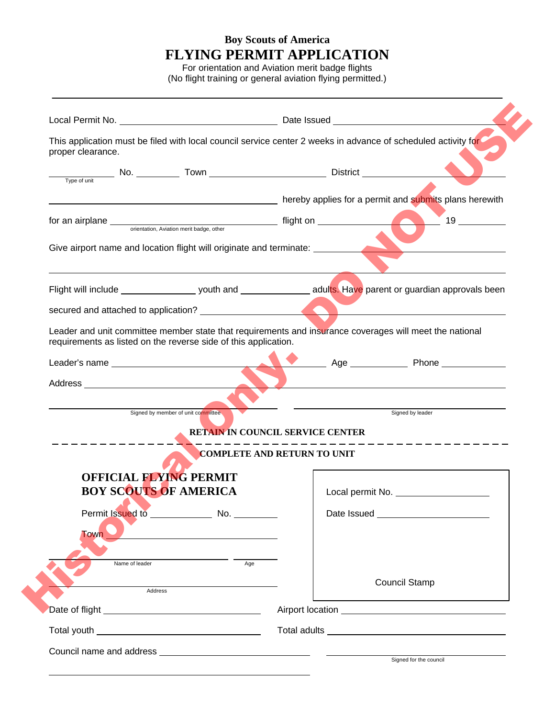## **Boy Scouts of America FLYING PERMIT APPLICATION**

For orientation and Aviation merit badge flights (No flight training or general aviation flying permitted.)

| proper clearance.            | This application must be filed with local council service center 2 weeks in advance of scheduled activity for                                                              |                                    |                                                                                                                                                                                                                                      |
|------------------------------|----------------------------------------------------------------------------------------------------------------------------------------------------------------------------|------------------------------------|--------------------------------------------------------------------------------------------------------------------------------------------------------------------------------------------------------------------------------------|
|                              |                                                                                                                                                                            |                                    |                                                                                                                                                                                                                                      |
|                              |                                                                                                                                                                            |                                    |                                                                                                                                                                                                                                      |
|                              |                                                                                                                                                                            |                                    | nereby applies for a permit and submits plans herewith methods of the submits of the series of the series of th                                                                                                                      |
|                              |                                                                                                                                                                            |                                    | $\frac{19}{2}$                                                                                                                                                                                                                       |
|                              | Give airport name and location flight will originate and terminate: ____________                                                                                           |                                    |                                                                                                                                                                                                                                      |
|                              |                                                                                                                                                                            |                                    | Flight will include ________________________ youth and __________________________ adults. Have parent or guardian approvals been                                                                                                     |
|                              | secured and attached to application?<br><u> and</u> the secured and attached to application?<br><u> and the secured and attached to application?</u>                       |                                    |                                                                                                                                                                                                                                      |
|                              | Leader and unit committee member state that requirements and insurance coverages will meet the national<br>requirements as listed on the reverse side of this application. |                                    |                                                                                                                                                                                                                                      |
|                              |                                                                                                                                                                            |                                    |                                                                                                                                                                                                                                      |
|                              |                                                                                                                                                                            |                                    |                                                                                                                                                                                                                                      |
|                              |                                                                                                                                                                            |                                    |                                                                                                                                                                                                                                      |
|                              | Signed by member of unit committee                                                                                                                                         |                                    | <u>Signed</u> by leader<br>Signed by leader                                                                                                                                                                                          |
|                              |                                                                                                                                                                            | RETAIN IN COUNCIL SERVICE CENTER   |                                                                                                                                                                                                                                      |
|                              |                                                                                                                                                                            | <b>COMPLETE AND RETURN TO UNIT</b> |                                                                                                                                                                                                                                      |
|                              | <b>OFFICIAL FLYING PERMIT</b>                                                                                                                                              |                                    |                                                                                                                                                                                                                                      |
| <b>BOY SCOUTS OF AMERICA</b> |                                                                                                                                                                            | Local permit No.                   |                                                                                                                                                                                                                                      |
|                              |                                                                                                                                                                            |                                    |                                                                                                                                                                                                                                      |
|                              |                                                                                                                                                                            |                                    |                                                                                                                                                                                                                                      |
|                              |                                                                                                                                                                            |                                    |                                                                                                                                                                                                                                      |
| <b>Town</b>                  |                                                                                                                                                                            |                                    |                                                                                                                                                                                                                                      |
| Name of leader               | Age                                                                                                                                                                        |                                    |                                                                                                                                                                                                                                      |
|                              |                                                                                                                                                                            |                                    | <b>Council Stamp</b>                                                                                                                                                                                                                 |
|                              | Address                                                                                                                                                                    |                                    |                                                                                                                                                                                                                                      |
|                              |                                                                                                                                                                            |                                    |                                                                                                                                                                                                                                      |
|                              |                                                                                                                                                                            |                                    | Airport location <u>example and the set of the set of the set of the set of the set of the set of the set of the set of the set of the set of the set of the set of the set of the set of the set of the set of the set of the s</u> |